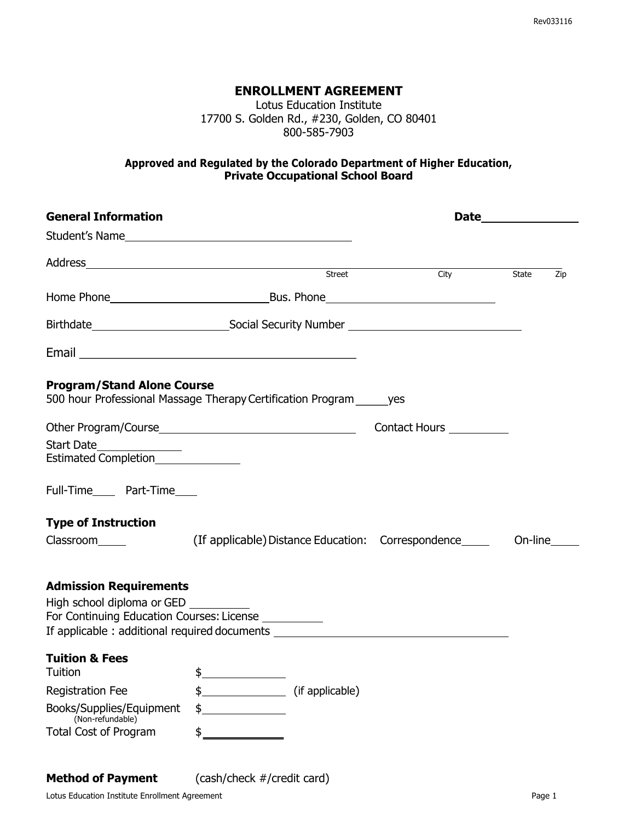#### **ENROLLMENT AGREEMENT**

Lotus Education Institute 17700 S. Golden Rd., #230, Golden, CO 80401 800-585-7903

#### **Approved and Regulated by the Colorado Department of Higher Education, Private Occupational School Board**

| <b>General Information</b>                                                                               |                                                                                                                                                                                                                                |                                    |              |
|----------------------------------------------------------------------------------------------------------|--------------------------------------------------------------------------------------------------------------------------------------------------------------------------------------------------------------------------------|------------------------------------|--------------|
|                                                                                                          |                                                                                                                                                                                                                                |                                    |              |
|                                                                                                          | Address Street                                                                                                                                                                                                                 |                                    |              |
|                                                                                                          |                                                                                                                                                                                                                                | City                               | State<br>Zip |
|                                                                                                          |                                                                                                                                                                                                                                |                                    |              |
|                                                                                                          |                                                                                                                                                                                                                                |                                    |              |
|                                                                                                          | Email experience and the second service of the service of the service of the service of the service of the service of the service of the service of the service of the service of the service of the service of the service of |                                    |              |
| <b>Program/Stand Alone Course</b>                                                                        | 500 hour Professional Massage Therapy Certification Program ves                                                                                                                                                                |                                    |              |
|                                                                                                          |                                                                                                                                                                                                                                | <b>Contact Hours Contact Hours</b> |              |
| Start Date_______________                                                                                |                                                                                                                                                                                                                                |                                    |              |
|                                                                                                          |                                                                                                                                                                                                                                |                                    |              |
| Full-Time_____ Part-Time____                                                                             |                                                                                                                                                                                                                                |                                    |              |
| <b>Type of Instruction</b>                                                                               |                                                                                                                                                                                                                                |                                    |              |
|                                                                                                          |                                                                                                                                                                                                                                | On-line                            |              |
| <b>Admission Requirements</b><br>High school diploma or GED<br>For Continuing Education Courses: License | If applicable: additional required documents ___________________________________                                                                                                                                               |                                    |              |
| <b>Tuition &amp; Fees</b>                                                                                |                                                                                                                                                                                                                                |                                    |              |
| Tuition                                                                                                  | $\frac{1}{2}$                                                                                                                                                                                                                  |                                    |              |
| <b>Registration Fee</b>                                                                                  | \$<br>(if applicable)                                                                                                                                                                                                          |                                    |              |
| Books/Supplies/Equipment<br>(Non-refundable)                                                             | \$                                                                                                                                                                                                                             |                                    |              |
| <b>Total Cost of Program</b>                                                                             | \$                                                                                                                                                                                                                             |                                    |              |
| <b>Method of Payment</b>                                                                                 | (cash/check #/credit card)                                                                                                                                                                                                     |                                    |              |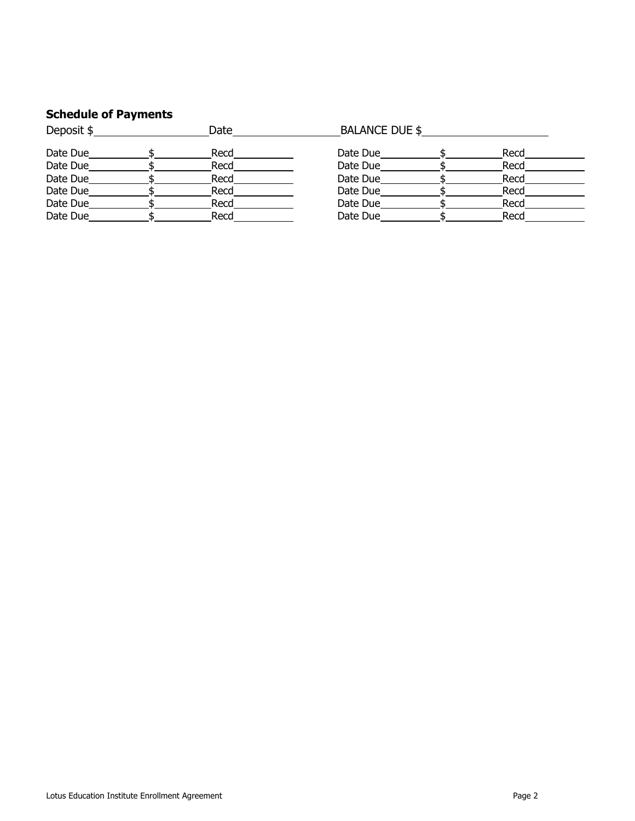## **Schedule of Payments**

| Deposit \$ | Date | <b>BALANCE DUE \$</b> |  |      |  |
|------------|------|-----------------------|--|------|--|
| Date Due   | Recd | Date Due              |  | Recd |  |
| Date Due   | Recd | Date Due              |  | Recd |  |
| Date Due   | Recd | Date Due              |  | Recd |  |
| Date Due   | Recd | Date Due              |  | Recd |  |
| Date Due   | Recd | Date Due              |  | Recd |  |
| Date Due   | Recd | Date Due              |  | Recd |  |